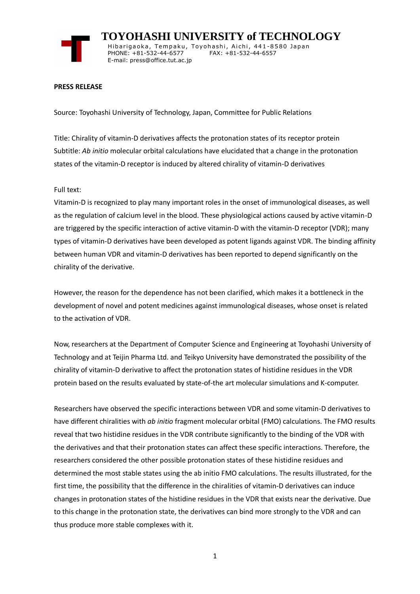

 **TOYOHASHI UNIVERSITY of TECHNOLOGY** Hibarigaoka, Tempaku, Toyohashi, Aichi, 441-8580 Japan PHONE: +81-532-44-6577 FAX: +81-532-44-6557 E-mail: press@office.tut.ac.jp

## **PRESS RELEASE**

Source: Toyohashi University of Technology, Japan, Committee for Public Relations

Title: Chirality of vitamin-D derivatives affects the protonation states of its receptor protein Subtitle: *Ab initio* molecular orbital calculations have elucidated that a change in the protonation states of the vitamin-D receptor is induced by altered chirality of vitamin-D derivatives

## Full text:

Vitamin-D is recognized to play many important roles in the onset of immunological diseases, as well as the regulation of calcium level in the blood. These physiological actions caused by active vitamin-D are triggered by the specific interaction of active vitamin-D with the vitamin-D receptor (VDR); many types of vitamin-D derivatives have been developed as potent ligands against VDR. The binding affinity between human VDR and vitamin-D derivatives has been reported to depend significantly on the chirality of the derivative.

However, the reason for the dependence has not been clarified, which makes it a bottleneck in the development of novel and potent medicines against immunological diseases, whose onset is related to the activation of VDR.

Now, researchers at the Department of Computer Science and Engineering at Toyohashi University of Technology and at Teijin Pharma Ltd. and Teikyo University have demonstrated the possibility of the chirality of vitamin-D derivative to affect the protonation states of histidine residues in the VDR protein based on the results evaluated by state-of-the art molecular simulations and K-computer.

Researchers have observed the specific interactions between VDR and some vitamin-D derivatives to have different chiralities with *ab initio* fragment molecular orbital (FMO) calculations. The FMO results reveal that two histidine residues in the VDR contribute significantly to the binding of the VDR with the derivatives and that their protonation states can affect these specific interactions. Therefore, the researchers considered the other possible protonation states of these histidine residues and determined the most stable states using the ab initio FMO calculations. The results illustrated, for the first time, the possibility that the difference in the chiralities of vitamin-D derivatives can induce changes in protonation states of the histidine residues in the VDR that exists near the derivative. Due to this change in the protonation state, the derivatives can bind more strongly to the VDR and can thus produce more stable complexes with it.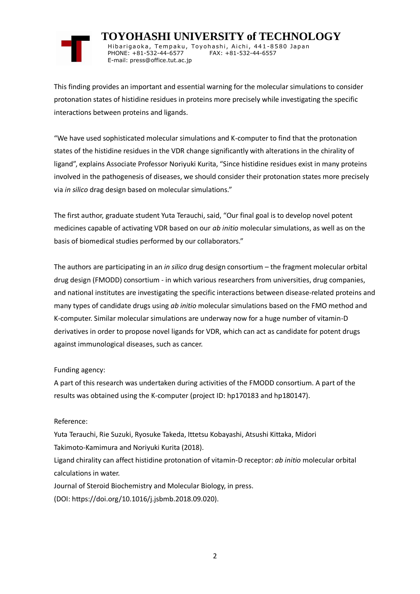

 **TOYOHASHI UNIVERSITY of TECHNOLOGY** Hibarigaoka, Tempaku, Toyohashi, Aichi, 441-8580 Japan PHONE: +81-532-44-6577 FAX: +81-532-44-6557 E-mail: press@office.tut.ac.jp

This finding provides an important and essential warning for the molecular simulations to consider protonation states of histidine residues in proteins more precisely while investigating the specific interactions between proteins and ligands.

"We have used sophisticated molecular simulations and K-computer to find that the protonation states of the histidine residues in the VDR change significantly with alterations in the chirality of ligand", explains Associate Professor Noriyuki Kurita, "Since histidine residues exist in many proteins involved in the pathogenesis of diseases, we should consider their protonation states more precisely via *in silico* drag design based on molecular simulations."

The first author, graduate student Yuta Terauchi, said, "Our final goal is to develop novel potent medicines capable of activating VDR based on our *ab initio* molecular simulations, as well as on the basis of biomedical studies performed by our collaborators."

The authors are participating in an *in silico* drug design consortium – the fragment molecular orbital drug design (FMODD) consortium - in which various researchers from universities, drug companies, and national institutes are investigating the specific interactions between disease-related proteins and many types of candidate drugs using *ab initio* molecular simulations based on the FMO method and K-computer. Similar molecular simulations are underway now for a huge number of vitamin-D derivatives in order to propose novel ligands for VDR, which can act as candidate for potent drugs against immunological diseases, such as cancer.

## Funding agency:

A part of this research was undertaken during activities of the FMODD consortium. A part of the results was obtained using the K-computer (project ID: hp170183 and hp180147).

## Reference:

Yuta Terauchi, Rie Suzuki, Ryosuke Takeda, Ittetsu Kobayashi, Atsushi Kittaka, Midori Takimoto-Kamimura and Noriyuki Kurita (2018). Ligand chirality can affect histidine protonation of vitamin-D receptor: *ab initio* molecular orbital calculations in water. Journal of Steroid Biochemistry and Molecular Biology, in press.

(DOI: https://doi.org/10.1016/j.jsbmb.2018.09.020).